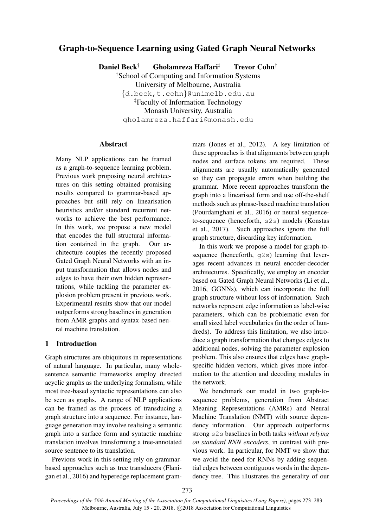# Graph-to-Sequence Learning using Gated Graph Neural Networks

Daniel Beck† Gholamreza Haffari‡ Trevor Cohn†

†School of Computing and Information Systems University of Melbourne, Australia {d.beck,t.cohn}@unimelb.edu.au ‡Faculty of Information Technology Monash University, Australia gholamreza.haffari@monash.edu

### **Abstract**

Many NLP applications can be framed as a graph-to-sequence learning problem. Previous work proposing neural architectures on this setting obtained promising results compared to grammar-based approaches but still rely on linearisation heuristics and/or standard recurrent networks to achieve the best performance. In this work, we propose a new model that encodes the full structural information contained in the graph. Our architecture couples the recently proposed Gated Graph Neural Networks with an input transformation that allows nodes and edges to have their own hidden representations, while tackling the parameter explosion problem present in previous work. Experimental results show that our model outperforms strong baselines in generation from AMR graphs and syntax-based neural machine translation.

### 1 Introduction

Graph structures are ubiquitous in representations of natural language. In particular, many wholesentence semantic frameworks employ directed acyclic graphs as the underlying formalism, while most tree-based syntactic representations can also be seen as graphs. A range of NLP applications can be framed as the process of transducing a graph structure into a sequence. For instance, language generation may involve realising a semantic graph into a surface form and syntactic machine translation involves transforming a tree-annotated source sentence to its translation.

Previous work in this setting rely on grammarbased approaches such as tree transducers (Flanigan et al., 2016) and hyperedge replacement grammars (Jones et al., 2012). A key limitation of these approaches is that alignments between graph nodes and surface tokens are required. These alignments are usually automatically generated so they can propagate errors when building the grammar. More recent approaches transform the graph into a linearised form and use off-the-shelf methods such as phrase-based machine translation (Pourdamghani et al., 2016) or neural sequenceto-sequence (henceforth, s2s) models (Konstas et al., 2017). Such approaches ignore the full graph structure, discarding key information.

In this work we propose a model for graph-tosequence (henceforth,  $q2s$ ) learning that leverages recent advances in neural encoder-decoder architectures. Specifically, we employ an encoder based on Gated Graph Neural Networks (Li et al., 2016, GGNNs), which can incorporate the full graph structure without loss of information. Such networks represent edge information as label-wise parameters, which can be problematic even for small sized label vocabularies (in the order of hundreds). To address this limitation, we also introduce a graph transformation that changes edges to additional nodes, solving the parameter explosion problem. This also ensures that edges have graphspecific hidden vectors, which gives more information to the attention and decoding modules in the network.

We benchmark our model in two graph-tosequence problems, generation from Abstract Meaning Representations (AMRs) and Neural Machine Translation (NMT) with source dependency information. Our approach outperforms strong s2s baselines in both tasks *without relying on standard RNN encoders*, in contrast with previous work. In particular, for NMT we show that we avoid the need for RNNs by adding sequential edges between contiguous words in the dependency tree. This illustrates the generality of our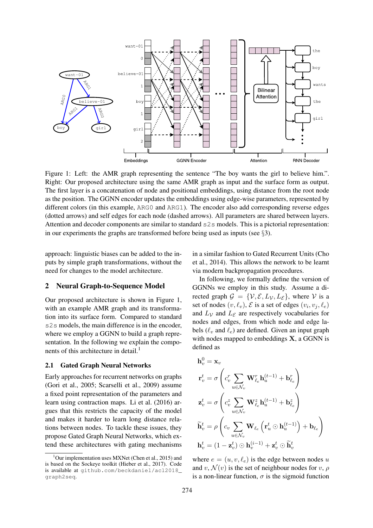

Figure 1: Left: the AMR graph representing the sentence "The boy wants the girl to believe him.". Right: Our proposed architecture using the same AMR graph as input and the surface form as output. The first layer is a concatenation of node and positional embeddings, using distance from the root node as the position. The GGNN encoder updates the embeddings using edge-wise parameters, represented by different colors (in this example, ARG0 and ARG1). The encoder also add corresponding reverse edges (dotted arrows) and self edges for each node (dashed arrows). All parameters are shared between layers. Attention and decoder components are similar to standard s2s models. This is a pictorial representation: in our experiments the graphs are transformed before being used as inputs (see §3).

approach: linguistic biases can be added to the inputs by simple graph transformations, without the need for changes to the model architecture.

### 2 Neural Graph-to-Sequence Model

Our proposed architecture is shown in Figure 1, with an example AMR graph and its transformation into its surface form. Compared to standard s2s models, the main difference is in the encoder, where we employ a GGNN to build a graph representation. In the following we explain the components of this architecture in detail.<sup>1</sup>

#### 2.1 Gated Graph Neural Networks

Early approaches for recurrent networks on graphs (Gori et al., 2005; Scarselli et al., 2009) assume a fixed point representation of the parameters and learn using contraction maps. Li et al. (2016) argues that this restricts the capacity of the model and makes it harder to learn long distance relations between nodes. To tackle these issues, they propose Gated Graph Neural Networks, which extend these architectures with gating mechanisms in a similar fashion to Gated Recurrent Units (Cho et al., 2014). This allows the network to be learnt via modern backpropagation procedures.

In following, we formally define the version of GGNNs we employ in this study. Assume a directed graph  $\mathcal{G} = \{V, \mathcal{E}, L_V, L_{\mathcal{E}}\}$ , where V is a set of nodes  $(v, \ell_v)$ ,  $\mathcal E$  is a set of edges  $(v_i, v_j, \ell_e)$ and  $L<sub>V</sub>$  and  $L<sub>E</sub>$  are respectively vocabularies for nodes and edges, from which node and edge labels ( $\ell_v$  and  $\ell_e$ ) are defined. Given an input graph with nodes mapped to embeddings  $X$ , a GGNN is defined as

$$
\begin{aligned}\n\mathbf{h}_v^0 &= \mathbf{x}_v \\
\mathbf{r}_v^t &= \sigma \left( c_v^r \sum_{u \in \mathcal{N}_v} \mathbf{W}_{\ell_e}^r \mathbf{h}_u^{(t-1)} + \mathbf{b}_{\ell_e}^r \right) \\
\mathbf{z}_v^t &= \sigma \left( c_v^z \sum_{u \in \mathcal{N}_v} \mathbf{W}_{\ell_e}^z \mathbf{h}_u^{(t-1)} + \mathbf{b}_{\ell_e}^z \right) \\
\widetilde{\mathbf{h}}_v^t &= \rho \left( c_v \sum_{u \in \mathcal{N}_v} \mathbf{W}_{\ell_e} \left( \mathbf{r}_u^t \odot \mathbf{h}_u^{(t-1)} \right) + \mathbf{b}_{\ell_e} \right) \\
\mathbf{h}_v^t &= (1 - \mathbf{z}_v^t) \odot \mathbf{h}_v^{(i-1)} + \mathbf{z}_v^t \odot \widetilde{\mathbf{h}}_v^t\n\end{aligned}
$$

where  $e = (u, v, \ell_e)$  is the edge between nodes u and v,  $\mathcal{N}(v)$  is the set of neighbour nodes for v,  $\rho$ is a non-linear function,  $\sigma$  is the sigmoid function

 $1$ Our implementation uses MXNet (Chen et al., 2015) and is based on the Sockeye toolkit (Hieber et al., 2017). Code is available at github.com/beckdaniel/acl2018\_ graph2seq.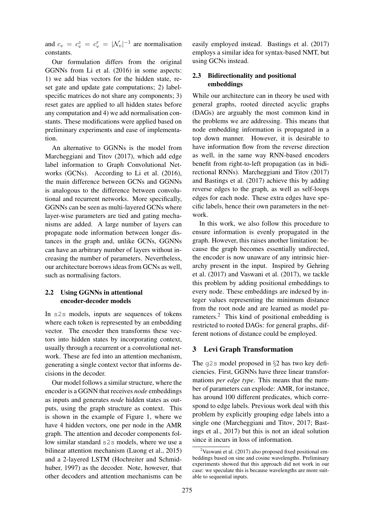and  $c_v = c_v^z = c_v^r = |\mathcal{N}_v|^{-1}$  are normalisation constants.

Our formulation differs from the original GGNNs from Li et al. (2016) in some aspects: 1) we add bias vectors for the hidden state, reset gate and update gate computations; 2) labelspecific matrices do not share any components; 3) reset gates are applied to all hidden states before any computation and 4) we add normalisation constants. These modifications were applied based on preliminary experiments and ease of implementation.

An alternative to GGNNs is the model from Marcheggiani and Titov (2017), which add edge label information to Graph Convolutional Networks (GCNs). According to Li et al. (2016), the main difference between GCNs and GGNNs is analogous to the difference between convolutional and recurrent networks. More specifically, GGNNs can be seen as multi-layered GCNs where layer-wise parameters are tied and gating mechanisms are added. A large number of layers can propagate node information between longer distances in the graph and, unlike GCNs, GGNNs can have an arbitrary number of layers without increasing the number of parameters. Nevertheless, our architecture borrows ideas from GCNs as well, such as normalising factors.

### 2.2 Using GGNNs in attentional encoder-decoder models

In s2s models, inputs are sequences of tokens where each token is represented by an embedding vector. The encoder then transforms these vectors into hidden states by incorporating context, usually through a recurrent or a convolutional network. These are fed into an attention mechanism, generating a single context vector that informs decisions in the decoder.

Our model follows a similar structure, where the encoder is a GGNN that receives *node* embeddings as inputs and generates *node* hidden states as outputs, using the graph structure as context. This is shown in the example of Figure 1, where we have 4 hidden vectors, one per node in the AMR graph. The attention and decoder components follow similar standard s2s models, where we use a bilinear attention mechanism (Luong et al., 2015) and a 2-layered LSTM (Hochreiter and Schmidhuber, 1997) as the decoder. Note, however, that other decoders and attention mechanisms can be

easily employed instead. Bastings et al. (2017) employs a similar idea for syntax-based NMT, but using GCNs instead.

### 2.3 Bidirectionality and positional embeddings

While our architecture can in theory be used with general graphs, rooted directed acyclic graphs (DAGs) are arguably the most common kind in the problems we are addressing. This means that node embedding information is propagated in a top down manner. However, it is desirable to have information flow from the reverse direction as well, in the same way RNN-based encoders benefit from right-to-left propagation (as in bidirectional RNNs). Marcheggiani and Titov (2017) and Bastings et al. (2017) achieve this by adding reverse edges to the graph, as well as self-loops edges for each node. These extra edges have specific labels, hence their own parameters in the network.

In this work, we also follow this procedure to ensure information is evenly propagated in the graph. However, this raises another limitation: because the graph becomes essentially undirected, the encoder is now unaware of any intrinsic hierarchy present in the input. Inspired by Gehring et al. (2017) and Vaswani et al. (2017), we tackle this problem by adding positional embeddings to every node. These embeddings are indexed by integer values representing the minimum distance from the root node and are learned as model parameters.<sup>2</sup> This kind of positional embedding is restricted to rooted DAGs: for general graphs, different notions of distance could be employed.

### 3 Levi Graph Transformation

The  $q2s$  model proposed in §2 has two key deficiencies. First, GGNNs have three linear transformations *per edge type*. This means that the number of parameters can explode: AMR, for instance, has around 100 different predicates, which correspond to edge labels. Previous work deal with this problem by explicitly grouping edge labels into a single one (Marcheggiani and Titov, 2017; Bastings et al., 2017) but this is not an ideal solution since it incurs in loss of information.

 $2$ Vaswani et al. (2017) also proposed fixed positional embeddings based on sine and cosine wavelengths. Preliminary experiments showed that this approach did not work in our case: we speculate this is because wavelengths are more suitable to sequential inputs.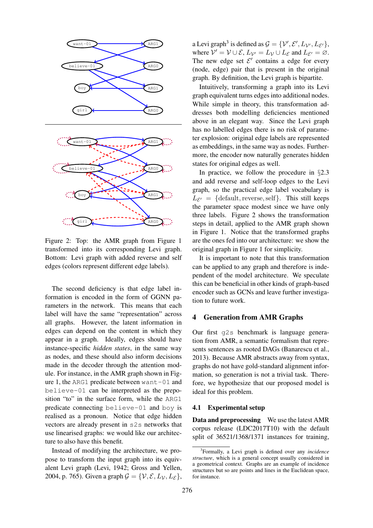

Figure 2: Top: the AMR graph from Figure 1 transformed into its corresponding Levi graph. Bottom: Levi graph with added reverse and self edges (colors represent different edge labels).

The second deficiency is that edge label information is encoded in the form of GGNN parameters in the network. This means that each label will have the same "representation" across all graphs. However, the latent information in edges can depend on the content in which they appear in a graph. Ideally, edges should have instance-specific *hidden states*, in the same way as nodes, and these should also inform decisions made in the decoder through the attention module. For instance, in the AMR graph shown in Figure 1, the ARG1 predicate between want-01 and believe-01 can be interpreted as the preposition "to" in the surface form, while the ARG1 predicate connecting believe-01 and boy is realised as a pronoun. Notice that edge hidden vectors are already present in s2s networks that use linearised graphs: we would like our architecture to also have this benefit.

Instead of modifying the architecture, we propose to transform the input graph into its equivalent Levi graph (Levi, 1942; Gross and Yellen, 2004, p. 765). Given a graph  $\mathcal{G} = \{ \mathcal{V}, \mathcal{E}, L_{\mathcal{V}}, L_{\mathcal{E}} \},$ 

a Levi graph<sup>3</sup> is defined as  $\mathcal{G} = {\mathcal{V}', \mathcal{E}', L_{\mathcal{V}'}, L_{\mathcal{E}'}}$ , where  $V' = V \cup \mathcal{E}$ ,  $L_{V'} = L_V \cup L_{\mathcal{E}}$  and  $L_{\mathcal{E}'} = \emptyset$ . The new edge set  $\mathcal{E}'$  contains a edge for every (node, edge) pair that is present in the original graph. By definition, the Levi graph is bipartite.

Intuitively, transforming a graph into its Levi graph equivalent turns edges into additional nodes. While simple in theory, this transformation addresses both modelling deficiencies mentioned above in an elegant way. Since the Levi graph has no labelled edges there is no risk of parameter explosion: original edge labels are represented as embeddings, in the same way as nodes. Furthermore, the encoder now naturally generates hidden states for original edges as well.

In practice, we follow the procedure in §2.3 and add reverse and self-loop edges to the Levi graph, so the practical edge label vocabulary is  $L_{\mathcal{E}'} = \{ \text{default}, \text{reverse}, \text{self} \}.$  This still keeps the parameter space modest since we have only three labels. Figure 2 shows the transformation steps in detail, applied to the AMR graph shown in Figure 1. Notice that the transformed graphs are the ones fed into our architecture: we show the original graph in Figure 1 for simplicity.

It is important to note that this transformation can be applied to any graph and therefore is independent of the model architecture. We speculate this can be beneficial in other kinds of graph-based encoder such as GCNs and leave further investigation to future work.

#### 4 Generation from AMR Graphs

Our first g2s benchmark is language generation from AMR, a semantic formalism that represents sentences as rooted DAGs (Banarescu et al., 2013). Because AMR abstracts away from syntax, graphs do not have gold-standard alignment information, so generation is not a trivial task. Therefore, we hypothesize that our proposed model is ideal for this problem.

#### 4.1 Experimental setup

Data and preprocessing We use the latest AMR corpus release (LDC2017T10) with the default split of 36521/1368/1371 instances for training,

<sup>3</sup> Formally, a Levi graph is defined over any *incidence structure*, which is a general concept usually considered in a geometrical context. Graphs are an example of incidence structures but so are points and lines in the Euclidean space, for instance.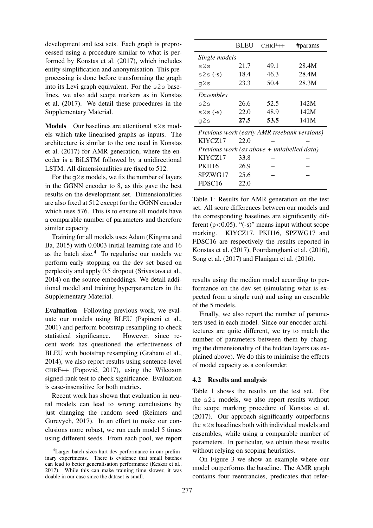development and test sets. Each graph is preprocessed using a procedure similar to what is performed by Konstas et al. (2017), which includes entity simplification and anonymisation. This preprocessing is done before transforming the graph into its Levi graph equivalent. For the s2s baselines, we also add scope markers as in Konstas et al. (2017). We detail these procedures in the Supplementary Material.

Models Our baselines are attentional s2s models which take linearised graphs as inputs. The architecture is similar to the one used in Konstas et al. (2017) for AMR generation, where the encoder is a BiLSTM followed by a unidirectional LSTM. All dimensionalities are fixed to 512.

For the  $q2s$  models, we fix the number of layers in the GGNN encoder to 8, as this gave the best results on the development set. Dimensionalities are also fixed at 512 except for the GGNN encoder which uses 576. This is to ensure all models have a comparable number of parameters and therefore similar capacity.

Training for all models uses Adam (Kingma and Ba, 2015) with 0.0003 initial learning rate and 16 as the batch size. $4$  To regularise our models we perform early stopping on the dev set based on perplexity and apply 0.5 dropout (Srivastava et al., 2014) on the source embeddings. We detail additional model and training hyperparameters in the Supplementary Material.

Evaluation Following previous work, we evaluate our models using BLEU (Papineni et al., 2001) and perform bootstrap resampling to check statistical significance. However, since recent work has questioned the effectiveness of BLEU with bootstrap resampling (Graham et al., 2014), we also report results using sentence-level CHRF++ (Popovic, 2017), using the Wilcoxon ´ signed-rank test to check significance. Evaluation is case-insensitive for both metrics.

Recent work has shown that evaluation in neural models can lead to wrong conclusions by just changing the random seed (Reimers and Gurevych, 2017). In an effort to make our conclusions more robust, we run each model 5 times using different seeds. From each pool, we report

|                                              | <b>BLEU</b> | $CHRF++$ | #params |  |  |
|----------------------------------------------|-------------|----------|---------|--|--|
| Single models                                |             |          |         |  |  |
| s2s                                          | 21.7        | 49.1     | 28.4M   |  |  |
| $s2s(-s)$                                    | 18.4        | 46.3     | 28.4M   |  |  |
| g2s                                          | 23.3        | 50.4     | 28.3M   |  |  |
| Ensembles                                    |             |          |         |  |  |
| s2s                                          | 26.6        | 52.5     | 142M    |  |  |
| $s2s(-s)$                                    | 22.0        | 48.9     | 142M    |  |  |
| q2s                                          | 27.5        | 53.5     | 141M    |  |  |
| Previous work (early AMR treebank versions)  |             |          |         |  |  |
| KIYCZ17                                      | 22.0        |          |         |  |  |
| Previous work (as above $+$ unlabelled data) |             |          |         |  |  |
| KIYCZ17                                      | 33.8        |          |         |  |  |
| <b>PKH16</b>                                 | 26.9        |          |         |  |  |
| SPZWG17                                      | 25.6        |          |         |  |  |
| FDSC <sub>16</sub>                           | 22.0        |          |         |  |  |

Table 1: Results for AMR generation on the test set. All score differences between our models and the corresponding baselines are significantly different  $(p<0.05)$ . "(-s)" means input without scope marking. KIYCZ17, PKH16, SPZWG17 and FDSC16 are respectively the results reported in Konstas et al. (2017), Pourdamghani et al. (2016), Song et al. (2017) and Flanigan et al. (2016).

results using the median model according to performance on the dev set (simulating what is expected from a single run) and using an ensemble of the 5 models.

Finally, we also report the number of parameters used in each model. Since our encoder architectures are quite different, we try to match the number of parameters between them by changing the dimensionality of the hidden layers (as explained above). We do this to minimise the effects of model capacity as a confounder.

#### 4.2 Results and analysis

Table 1 shows the results on the test set. For the s2s models, we also report results without the scope marking procedure of Konstas et al. (2017). Our approach significantly outperforms the s2s baselines both with individual models and ensembles, while using a comparable number of parameters. In particular, we obtain these results without relying on scoping heuristics.

On Figure 3 we show an example where our model outperforms the baseline. The AMR graph contains four reentrancies, predicates that refer-

<sup>4</sup>Larger batch sizes hurt dev performance in our preliminary experiments. There is evidence that small batches can lead to better generalisation performance (Keskar et al., 2017). While this can make training time slower, it was doable in our case since the dataset is small.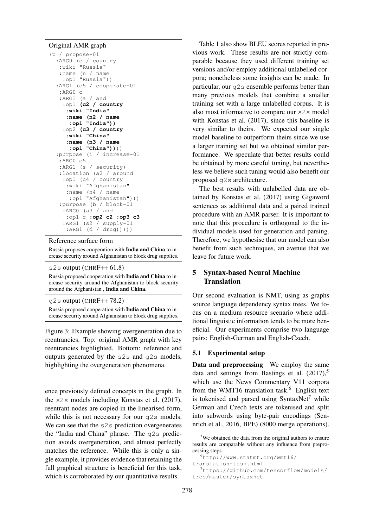#### Original AMR graph

```
(p / propose-01
 :ARG0 (c / country
  :wiki "Russia"
  :name (n / name
   :op1 "Russia"))
 :ARG1 (c5 / cooperate-01
  :ARG0 c
  :ARG1 (a / and
   :op1 (c2 / country
    :wiki "India"
    :name (n2 / name
     :op1 "India"))
   :op2 (c3 / country
    :wiki "China"
    :name (n3 / name
     :op1 "China"))))
 :purpose (i / increase-01
  :ARG0 c5
  :ARG1 (s / security)
  :location (a2 / around
   :op1 (c4 / country
    :wiki "Afghanistan"
    :name (n4 / name
     :op1 "Afghanistan")))
  :purpose (b / block-01
    :ARG0 (a3 / and
    :op1 c :op2 c2 :op3 c3
   :ARG1 (s2 / supply-01
    :ARG1 (d / drug)))))
```
#### Reference surface form

Russia proposes cooperation with India and China to increase security around Afghanistan to block drug supplies.

### s2s output (CHRF++ 61.8)

Russia proposed cooperation with India and China to increase security around the Afghanistan to block security around the Afghanistan , India and China.

g2s output (CHRF++ 78.2)

Russia proposed cooperation with India and China to increase security around Afghanistan to block drug supplies.

Figure 3: Example showing overgeneration due to reentrancies. Top: original AMR graph with key reentrancies highlighted. Bottom: reference and outputs generated by the s2s and g2s models, highlighting the overgeneration phenomena.

ence previously defined concepts in the graph. In the s2s models including Konstas et al. (2017), reentrant nodes are copied in the linearised form, while this is not necessary for our  $q2s$  models. We can see that the s2s prediction overgenerates the "India and China" phrase. The g2s prediction avoids overgeneration, and almost perfectly matches the reference. While this is only a single example, it provides evidence that retaining the full graphical structure is beneficial for this task, which is corroborated by our quantitative results.

Table 1 also show BLEU scores reported in previous work. These results are not strictly comparable because they used different training set versions and/or employ additional unlabelled corpora; nonetheless some insights can be made. In particular, our g2s ensemble performs better than many previous models that combine a smaller training set with a large unlabelled corpus. It is also most informative to compare our s2s model with Konstas et al. (2017), since this baseline is very similar to theirs. We expected our single model baseline to outperform theirs since we use a larger training set but we obtained similar performance. We speculate that better results could be obtained by more careful tuning, but nevertheless we believe such tuning would also benefit our proposed g2s architecture.

The best results with unlabelled data are obtained by Konstas et al. (2017) using Gigaword sentences as additional data and a paired trained procedure with an AMR parser. It is important to note that this procedure is orthogonal to the individual models used for generation and parsing. Therefore, we hypothesise that our model can also benefit from such techniques, an avenue that we leave for future work.

## 5 Syntax-based Neural Machine Translation

Our second evaluation is NMT, using as graphs source language dependency syntax trees. We focus on a medium resource scenario where additional linguistic information tends to be more beneficial. Our experiments comprise two language pairs: English-German and English-Czech.

#### 5.1 Experimental setup

Data and preprocessing We employ the same data and settings from Bastings et al.  $(2017)$ ,<sup>5</sup> which use the News Commentary V11 corpora from the WMT16 translation task.<sup>6</sup> English text is tokenised and parsed using SyntaxNet<sup>7</sup> while German and Czech texts are tokenised and split into subwords using byte-pair encodings (Sennrich et al., 2016, BPE) (8000 merge operations).

<sup>&</sup>lt;sup>5</sup>We obtained the data from the original authors to ensure results are comparable without any influence from preprocessing steps.

<sup>6</sup>http://www.statmt.org/wmt16/

translation-task.html

<sup>7</sup>https://github.com/tensorflow/models/ tree/master/syntaxnet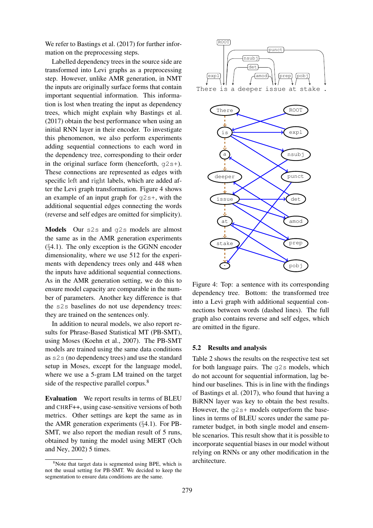We refer to Bastings et al. (2017) for further information on the preprocessing steps.

Labelled dependency trees in the source side are transformed into Levi graphs as a preprocessing step. However, unlike AMR generation, in NMT the inputs are originally surface forms that contain important sequential information. This information is lost when treating the input as dependency trees, which might explain why Bastings et al. (2017) obtain the best performance when using an initial RNN layer in their encoder. To investigate this phenomenon, we also perform experiments adding sequential connections to each word in the dependency tree, corresponding to their order in the original surface form (henceforth,  $q2s+$ ). These connections are represented as edges with specific left and right labels, which are added after the Levi graph transformation. Figure 4 shows an example of an input graph for  $q2s+$ , with the additional sequential edges connecting the words (reverse and self edges are omitted for simplicity).

Models Our s2s and q2s models are almost the same as in the AMR generation experiments (§4.1). The only exception is the GGNN encoder dimensionality, where we use 512 for the experiments with dependency trees only and 448 when the inputs have additional sequential connections. As in the AMR generation setting, we do this to ensure model capacity are comparable in the number of parameters. Another key difference is that the s2s baselines do not use dependency trees: they are trained on the sentences only.

In addition to neural models, we also report results for Phrase-Based Statistical MT (PB-SMT), using Moses (Koehn et al., 2007). The PB-SMT models are trained using the same data conditions as s2s (no dependency trees) and use the standard setup in Moses, except for the language model, where we use a 5-gram LM trained on the target side of the respective parallel corpus.<sup>8</sup>

Evaluation We report results in terms of BLEU and CHRF++, using case-sensitive versions of both metrics. Other settings are kept the same as in the AMR generation experiments (§4.1). For PB-SMT, we also report the median result of 5 runs, obtained by tuning the model using MERT (Och and Ney, 2002) 5 times.





Figure 4: Top: a sentence with its corresponding dependency tree. Bottom: the transformed tree into a Levi graph with additional sequential connections between words (dashed lines). The full graph also contains reverse and self edges, which are omitted in the figure.

#### 5.2 Results and analysis

Table 2 shows the results on the respective test set for both language pairs. The  $q2s$  models, which do not account for sequential information, lag behind our baselines. This is in line with the findings of Bastings et al. (2017), who found that having a BiRNN layer was key to obtain the best results. However, the  $q2s+$  models outperform the baselines in terms of BLEU scores under the same parameter budget, in both single model and ensemble scenarios. This result show that it is possible to incorporate sequential biases in our model without relying on RNNs or any other modification in the architecture.

 $8$ Note that target data is segmented using BPE, which is not the usual setting for PB-SMT. We decided to keep the segmentation to ensure data conditions are the same.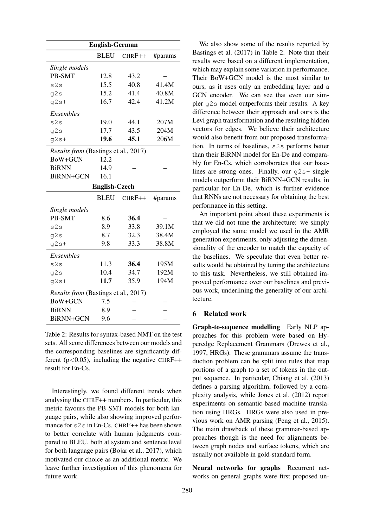| <b>English-German</b>                |             |        |         |  |
|--------------------------------------|-------------|--------|---------|--|
|                                      | <b>BLEU</b> | CHRF++ | #params |  |
| Single models                        |             |        |         |  |
| PB-SMT                               | 12.8        | 43.2   |         |  |
| s2s                                  | 15.5        | 40.8   | 41.4M   |  |
| q2s                                  | 15.2        | 41.4   | 40.8M   |  |
| $q2s+$                               | 16.7        | 42.4   | 41.2M   |  |
| <b>Ensembles</b>                     |             |        |         |  |
| s2s                                  | 19.0        | 44.1   | 207M    |  |
| q2s                                  | 17.7        | 43.5   | 204M    |  |
| $g2s+$                               | 19.6        | 45.1   | 206M    |  |
| Results from (Bastings et al., 2017) |             |        |         |  |
| BoW+GCN                              | 12.2        |        |         |  |
| <b>BiRNN</b>                         | 14.9        |        |         |  |
| BiRNN+GCN                            | 16.1        |        |         |  |
| English-Czech                        |             |        |         |  |
|                                      |             |        |         |  |
|                                      | <b>BLEU</b> | CHRF++ | #params |  |
| Single models                        |             |        |         |  |
| PB-SMT                               | 8.6         | 36.4   |         |  |
| s2s                                  | 8.9         | 33.8   | 39.1M   |  |
| g2s                                  | 8.7         | 32.3   | 38.4M   |  |
| $q2s+$                               | 9.8         | 33.3   | 38.8M   |  |
| Ensembles                            |             |        |         |  |
| s2s                                  | 11.3        | 36.4   | 195M    |  |
| g2s                                  | 10.4        | 34.7   | 192M    |  |
| $q2s+$                               | 11.7        | 35.9   | 194M    |  |
| Results from (Bastings et al., 2017) |             |        |         |  |
| BoW+GCN                              | 7.5         |        |         |  |
| <b>BiRNN</b>                         | 8.9         |        |         |  |

Table 2: Results for syntax-based NMT on the test sets. All score differences between our models and the corresponding baselines are significantly different ( $p < 0.05$ ), including the negative CHRF++ result for En-Cs.

Interestingly, we found different trends when analysing the CHRF++ numbers. In particular, this metric favours the PB-SMT models for both language pairs, while also showing improved performance for s2s in En-Cs. CHRF++ has been shown to better correlate with human judgments compared to BLEU, both at system and sentence level for both language pairs (Bojar et al., 2017), which motivated our choice as an additional metric. We leave further investigation of this phenomena for future work.

We also show some of the results reported by Bastings et al. (2017) in Table 2. Note that their results were based on a different implementation, which may explain some variation in performance. Their BoW+GCN model is the most similar to ours, as it uses only an embedding layer and a GCN encoder. We can see that even our simpler g2s model outperforms their results. A key difference between their approach and ours is the Levi graph transformation and the resulting hidden vectors for edges. We believe their architecture would also benefit from our proposed transformation. In terms of baselines, s2s performs better than their BiRNN model for En-De and comparably for En-Cs, which corroborates that our baselines are strong ones. Finally, our  $q2s+$  single models outperform their BiRNN+GCN results, in particular for En-De, which is further evidence that RNNs are not necessary for obtaining the best performance in this setting.

An important point about these experiments is that we did not tune the architecture: we simply employed the same model we used in the AMR generation experiments, only adjusting the dimensionality of the encoder to match the capacity of the baselines. We speculate that even better results would be obtained by tuning the architecture to this task. Nevertheless, we still obtained improved performance over our baselines and previous work, underlining the generality of our architecture.

### 6 Related work

Graph-to-sequence modelling Early NLP approaches for this problem were based on Hyperedge Replacement Grammars (Drewes et al., 1997, HRGs). These grammars assume the transduction problem can be split into rules that map portions of a graph to a set of tokens in the output sequence. In particular, Chiang et al. (2013) defines a parsing algorithm, followed by a complexity analysis, while Jones et al. (2012) report experiments on semantic-based machine translation using HRGs. HRGs were also used in previous work on AMR parsing (Peng et al., 2015). The main drawback of these grammar-based approaches though is the need for alignments between graph nodes and surface tokens, which are usually not available in gold-standard form.

Neural networks for graphs Recurrent networks on general graphs were first proposed un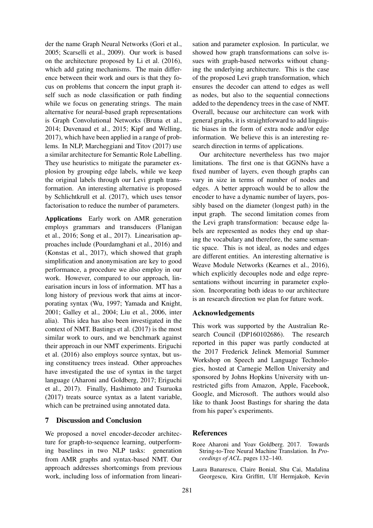der the name Graph Neural Networks (Gori et al., 2005; Scarselli et al., 2009). Our work is based on the architecture proposed by Li et al. (2016), which add gating mechanisms. The main difference between their work and ours is that they focus on problems that concern the input graph itself such as node classification or path finding while we focus on generating strings. The main alternative for neural-based graph representations is Graph Convolutional Networks (Bruna et al., 2014; Duvenaud et al., 2015; Kipf and Welling, 2017), which have been applied in a range of problems. In NLP, Marcheggiani and Titov (2017) use a similar architecture for Semantic Role Labelling. They use heuristics to mitigate the parameter explosion by grouping edge labels, while we keep the original labels through our Levi graph transformation. An interesting alternative is proposed by Schlichtkrull et al. (2017), which uses tensor factorisation to reduce the number of parameters.

Applications Early work on AMR generation employs grammars and transducers (Flanigan et al., 2016; Song et al., 2017). Linearisation approaches include (Pourdamghani et al., 2016) and (Konstas et al., 2017), which showed that graph simplification and anonymisation are key to good performance, a procedure we also employ in our work. However, compared to our approach, linearisation incurs in loss of information. MT has a long history of previous work that aims at incorporating syntax (Wu, 1997; Yamada and Knight, 2001; Galley et al., 2004; Liu et al., 2006, inter alia). This idea has also been investigated in the context of NMT. Bastings et al. (2017) is the most similar work to ours, and we benchmark against their approach in our NMT experiments. Eriguchi et al. (2016) also employs source syntax, but using constituency trees instead. Other approaches have investigated the use of syntax in the target language (Aharoni and Goldberg, 2017; Eriguchi et al., 2017). Finally, Hashimoto and Tsuruoka (2017) treats source syntax as a latent variable, which can be pretrained using annotated data.

#### 7 Discussion and Conclusion

We proposed a novel encoder-decoder architecture for graph-to-sequence learning, outperforming baselines in two NLP tasks: generation from AMR graphs and syntax-based NMT. Our approach addresses shortcomings from previous work, including loss of information from linearisation and parameter explosion. In particular, we showed how graph transformations can solve issues with graph-based networks without changing the underlying architecture. This is the case of the proposed Levi graph transformation, which ensures the decoder can attend to edges as well as nodes, but also to the sequential connections added to the dependency trees in the case of NMT. Overall, because our architecture can work with general graphs, it is straightforward to add linguistic biases in the form of extra node and/or edge information. We believe this is an interesting research direction in terms of applications.

Our architecture nevertheless has two major limitations. The first one is that GGNNs have a fixed number of layers, even though graphs can vary in size in terms of number of nodes and edges. A better approach would be to allow the encoder to have a dynamic number of layers, possibly based on the diameter (longest path) in the input graph. The second limitation comes from the Levi graph transformation: because edge labels are represented as nodes they end up sharing the vocabulary and therefore, the same semantic space. This is not ideal, as nodes and edges are different entities. An interesting alternative is Weave Module Networks (Kearnes et al., 2016), which explicitly decouples node and edge representations without incurring in parameter explosion. Incorporating both ideas to our architecture is an research direction we plan for future work.

#### Acknowledgements

This work was supported by the Australian Research Council (DP160102686). The research reported in this paper was partly conducted at the 2017 Frederick Jelinek Memorial Summer Workshop on Speech and Language Technologies, hosted at Carnegie Mellon University and sponsored by Johns Hopkins University with unrestricted gifts from Amazon, Apple, Facebook, Google, and Microsoft. The authors would also like to thank Joost Bastings for sharing the data from his paper's experiments.

### References

- Roee Aharoni and Yoav Goldberg. 2017. Towards String-to-Tree Neural Machine Translation. In *Proceedings of ACL*. pages 132–140.
- Laura Banarescu, Claire Bonial, Shu Cai, Madalina Georgescu, Kira Griffitt, Ulf Hermjakob, Kevin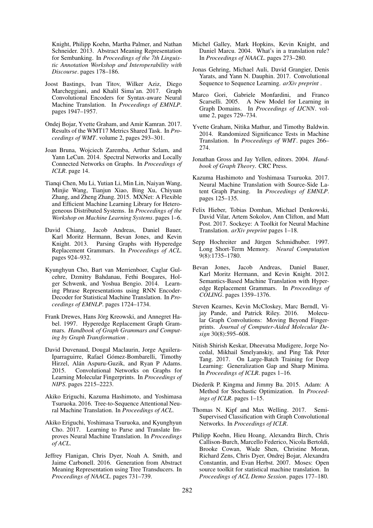Knight, Philipp Koehn, Martha Palmer, and Nathan Schneider. 2013. Abstract Meaning Representation for Sembanking. In *Proceedings of the 7th Linguistic Annotation Workshop and Interoperability with Discourse*. pages 178–186.

- Joost Bastings, Ivan Titov, Wilker Aziz, Diego Marcheggiani, and Khalil Sima'an. 2017. Graph Convolutional Encoders for Syntax-aware Neural Machine Translation. In *Proceedings of EMNLP*. pages 1947–1957.
- Ondej Bojar, Yvette Graham, and Amir Kamran. 2017. Results of the WMT17 Metrics Shared Task. In *Proceedings of WMT*. volume 2, pages 293–301.
- Joan Bruna, Wojciech Zaremba, Arthur Szlam, and Yann LeCun. 2014. Spectral Networks and Locally Connected Networks on Graphs. In *Proceedings of ICLR*. page 14.
- Tianqi Chen, Mu Li, Yutian Li, Min Lin, Naiyan Wang, Minjie Wang, Tianjun Xiao, Bing Xu, Chiyuan Zhang, and Zheng Zhang. 2015. MXNet: A Flexible and Efficient Machine Learning Library for Heterogeneous Distributed Systems. In *Proceedings of the Workshop on Machine Learning Systems*. pages 1–6.
- David Chiang, Jacob Andreas, Daniel Bauer, Karl Moritz Hermann, Bevan Jones, and Kevin Knight. 2013. Parsing Graphs with Hyperedge Replacement Grammars. In *Proceedings of ACL*. pages 924–932.
- Kyunghyun Cho, Bart van Merrienboer, Caglar Gulcehre, Dzmitry Bahdanau, Fethi Bougares, Holger Schwenk, and Yoshua Bengio. 2014. Learning Phrase Representations using RNN Encoder-Decoder for Statistical Machine Translation. In *Proceedings of EMNLP*. pages 1724–1734.
- Frank Drewes, Hans Jörg Kreowski, and Annegret Habel. 1997. Hyperedge Replacement Graph Grammars. *Handbook of Graph Grammars and Computing by Graph Transformation* .
- David Duvenaud, Dougal Maclaurin, Jorge Aguilera-Iparraguirre, Rafael Gómez-Bombarelli, Timothy Hirzel, Alán Aspuru-Guzik, and Ryan P Adams. 2015. Convolutional Networks on Graphs for Learning Molecular Fingerprints. In *Proceedings of NIPS*. pages 2215–2223.
- Akiko Eriguchi, Kazuma Hashimoto, and Yoshimasa Tsuruoka. 2016. Tree-to-Sequence Attentional Neural Machine Translation. In *Proceedings of ACL*.
- Akiko Eriguchi, Yoshimasa Tsuruoka, and Kyunghyun Cho. 2017. Learning to Parse and Translate Improves Neural Machine Translation. In *Proceedings of ACL*.
- Jeffrey Flanigan, Chris Dyer, Noah A. Smith, and Jaime Carbonell. 2016. Generation from Abstract Meaning Representation using Tree Transducers. In *Proceedings of NAACL*. pages 731–739.
- Michel Galley, Mark Hopkins, Kevin Knight, and Daniel Marcu. 2004. What's in a translation rule? In *Proceedings of NAACL*. pages 273–280.
- Jonas Gehring, Michael Auli, David Grangier, Denis Yarats, and Yann N. Dauphin. 2017. Convolutional Sequence to Sequence Learning. *arXiv preprint* .
- Marco Gori, Gabriele Monfardini, and Franco Scarselli. 2005. A New Model for Learning in Graph Domains. In *Proceedings of IJCNN*. volume 2, pages 729–734.
- Yvette Graham, Nitika Mathur, and Timothy Baldwin. 2014. Randomized Significance Tests in Machine Translation. In *Proceedings of WMT*. pages 266– 274.
- Jonathan Gross and Jay Yellen, editors. 2004. *Handbook of Graph Theory*. CRC Press.
- Kazuma Hashimoto and Yoshimasa Tsuruoka. 2017. Neural Machine Translation with Source-Side Latent Graph Parsing. In *Proceedings of EMNLP*. pages 125–135.
- Felix Hieber, Tobias Domhan, Michael Denkowski, David Vilar, Artem Sokolov, Ann Clifton, and Matt Post. 2017. Sockeye: A Toolkit for Neural Machine Translation. *arXiv preprint* pages 1–18.
- Sepp Hochreiter and Jürgen Schmidhuber. 1997. Long Short-Term Memory. *Neural Computation* 9(8):1735–1780.
- Bevan Jones, Jacob Andreas, Daniel Bauer, Karl Moritz Hermann, and Kevin Knight. 2012. Semantics-Based Machine Translation with Hyperedge Replacement Grammars. In *Proceedings of COLING*. pages 1359–1376.
- Steven Kearnes, Kevin McCloskey, Marc Berndl, Vijay Pande, and Patrick Riley. 2016. Molecular Graph Convolutions: Moving Beyond Fingerprints. *Journal of Computer-Aided Molecular Design* 30(8):595–608.
- Nitish Shirish Keskar, Dheevatsa Mudigere, Jorge Nocedal, Mikhail Smelyanskiy, and Ping Tak Peter Tang. 2017. On Large-Batch Training for Deep Learning: Generalization Gap and Sharp Minima. In *Proceedings of ICLR*. pages 1–16.
- Diederik P. Kingma and Jimmy Ba. 2015. Adam: A Method for Stochastic Optimization. In *Proceedings of ICLR*. pages 1–15.
- Thomas N. Kipf and Max Welling. 2017. Semi-Supervised Classification with Graph Convolutional Networks. In *Proceedings of ICLR*.
- Philipp Koehn, Hieu Hoang, Alexandra Birch, Chris Callison-Burch, Marcello Federico, Nicola Bertoldi, Brooke Cowan, Wade Shen, Christine Moran, Richard Zens, Chris Dyer, Ondrej Bojar, Alexandra Constantin, and Evan Herbst. 2007. Moses: Open source toolkit for statistical machine translation. In *Proceedings of ACL Demo Session*. pages 177–180.